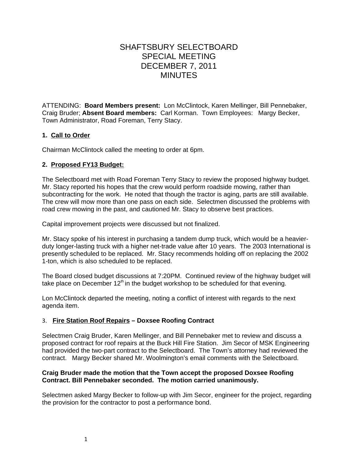# SHAFTSBURY SELECTBOARD SPECIAL MEETING DECEMBER 7, 2011 MINUTES

ATTENDING: **Board Members present:** Lon McClintock, Karen Mellinger, Bill Pennebaker, Craig Bruder; **Absent Board members:** Carl Korman. Town Employees: Margy Becker, Town Administrator, Road Foreman, Terry Stacy.

### **1. Call to Order**

Chairman McClintock called the meeting to order at 6pm.

#### **2. Proposed FY13 Budget:**

The Selectboard met with Road Foreman Terry Stacy to review the proposed highway budget. Mr. Stacy reported his hopes that the crew would perform roadside mowing, rather than subcontracting for the work. He noted that though the tractor is aging, parts are still available. The crew will mow more than one pass on each side. Selectmen discussed the problems with road crew mowing in the past, and cautioned Mr. Stacy to observe best practices.

Capital improvement projects were discussed but not finalized.

Mr. Stacy spoke of his interest in purchasing a tandem dump truck, which would be a heavierduty longer-lasting truck with a higher net-trade value after 10 years. The 2003 International is presently scheduled to be replaced. Mr. Stacy recommends holding off on replacing the 2002 1-ton, which is also scheduled to be replaced.

The Board closed budget discussions at 7:20PM. Continued review of the highway budget will take place on December  $12<sup>th</sup>$  in the budget workshop to be scheduled for that evening.

Lon McClintock departed the meeting, noting a conflict of interest with regards to the next agenda item.

#### 3. **Fire Station Roof Repairs – Doxsee Roofing Contract**

Selectmen Craig Bruder, Karen Mellinger, and Bill Pennebaker met to review and discuss a proposed contract for roof repairs at the Buck Hill Fire Station. Jim Secor of MSK Engineering had provided the two-part contract to the Selectboard. The Town's attorney had reviewed the contract. Margy Becker shared Mr. Woolmington's email comments with the Selectboard.

#### **Craig Bruder made the motion that the Town accept the proposed Doxsee Roofing Contract. Bill Pennebaker seconded. The motion carried unanimously.**

Selectmen asked Margy Becker to follow-up with Jim Secor, engineer for the project, regarding the provision for the contractor to post a performance bond.